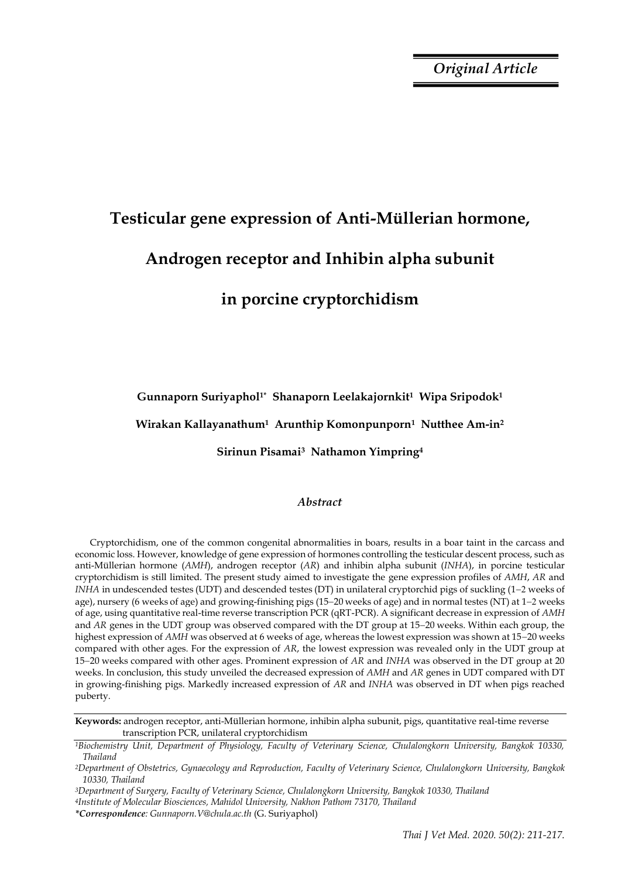*Original Article*

# **Testicular gene expression of Anti-Müllerian hormone, Androgen receptor and Inhibin alpha subunit in porcine cryptorchidism**

**Gunnaporn Suriyaphol1\* Shanaporn Leelakajornkit1 Wipa Sripodok<sup>1</sup>** 

**Wirakan Kallayanathum1 Arunthip Komonpunporn1 Nutthee Am-in<sup>2</sup>** 

**Sirinun Pisamai3 Nathamon Yimpring<sup>4</sup>**

# *Abstract*

Cryptorchidism, one of the common congenital abnormalities in boars, results in a boar taint in the carcass and economic loss. However, knowledge of gene expression of hormones controlling the testicular descent process, such as anti-Müllerian hormone (*AMH*), androgen receptor (*AR*) and inhibin alpha subunit (*INHA*), in porcine testicular cryptorchidism is still limited. The present study aimed to investigate the gene expression profiles of *AMH*, *AR* and *INHA* in undescended testes (UDT) and descended testes (DT) in unilateral cryptorchid pigs of suckling (1-2 weeks of age), nursery (6 weeks of age) and growing-finishing pigs (15–20 weeks of age) and in normal testes (NT) at  $1-2$  weeks of age, using quantitative real-time reverse transcription PCR (qRT-PCR). A significant decrease in expression of *AMH* and *AR* genes in the UDT group was observed compared with the DT group at 15–20 weeks. Within each group, the highest expression of *AMH* was observed at 6 weeks of age, whereas the lowest expression was shown at 15-20 weeks compared with other ages. For the expression of *AR*, the lowest expression was revealed only in the UDT group at 1520 weeks compared with other ages. Prominent expression of *AR* and *INHA* was observed in the DT group at 20 weeks. In conclusion, this study unveiled the decreased expression of *AMH* and *AR* genes in UDT compared with DT in growing-finishing pigs. Markedly increased expression of *AR* and *INHA* was observed in DT when pigs reached puberty.

**Keywords:** androgen receptor, anti-Müllerian hormone, inhibin alpha subunit, pigs, quantitative real-time reverse transcription PCR, unilateral cryptorchidism

*<sup>1</sup>Biochemistry Unit, Department of Physiology, Faculty of Veterinary Science, Chulalongkorn University, Bangkok 10330, Thailand* 

*<sup>2</sup>Department of Obstetrics, Gynaecology and Reproduction, Faculty of Veterinary Science, Chulalongkorn University, Bangkok 10330, Thailand*

*<sup>3</sup>Department of Surgery, Faculty of Veterinary Science, Chulalongkorn University, Bangkok 10330, Thailand* 

*<sup>4</sup>Institute of Molecular Biosciences, Mahidol University, Nakhon Pathom 73170, Thailand*

*<sup>\*</sup>Correspondence: Gunnaporn.V@chula.ac.th* (G. Suriyaphol)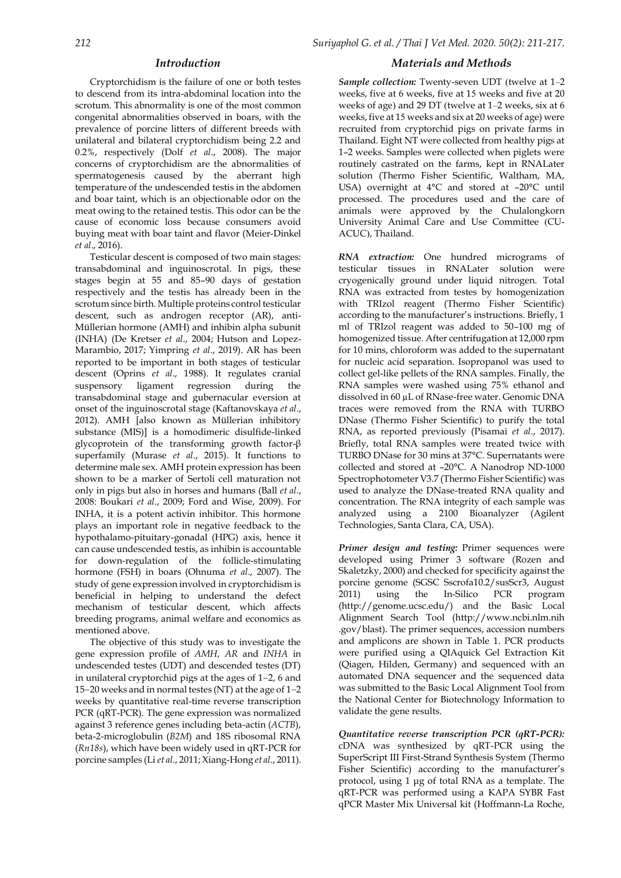### *Introduction*

Cryptorchidism is the failure of one or both testes to descend from its intra-abdominal location into the scrotum. This abnormality is one of the most common congenital abnormalities observed in boars, with the prevalence of porcine litters of different breeds with unilateral and bilateral cryptorchidism being 2.2 and 0.2%, respectively (Dolf *et al*., 2008). The major concerns of cryptorchidism are the abnormalities of spermatogenesis caused by the aberrant high temperature of the undescended testis in the abdomen and boar taint, which is an objectionable odor on the meat owing to the retained testis. This odor can be the cause of economic loss because consumers avoid buying meat with boar taint and flavor (Meier-Dinkel *et al*., 2016).

Testicular descent is composed of two main stages: transabdominal and inguinoscrotal. In pigs, these stages begin at 55 and 85–90 days of gestation respectively and the testis has already been in the scrotum since birth. Multiple proteins control testicular descent, such as androgen receptor (AR), anti-Müllerian hormone (AMH) and inhibin alpha subunit (INHA) (De Kretser *et al*., 2004; Hutson and Lopez-Marambio, 2017; Yimpring *et al*., 2019). AR has been reported to be important in both stages of testicular descent (Oprins *et al*., 1988). It regulates cranial suspensory ligament regression during the transabdominal stage and gubernacular eversion at onset of the inguinoscrotal stage (Kaftanovskaya *et al*., 2012). AMH [also known as Müllerian inhibitory substance (MIS)] is a homodimeric disulfide-linked glycoprotein of the transforming growth factor-β superfamily [\(Murase](https://www.ncbi.nlm.nih.gov/pubmed/?term=MURASE%20H%5BAuthor%5D&cauthor=true&cauthor_uid=25829866) *et al*., 2015). It functions to determine male sex. AMH protein expression has been shown to be a marker of Sertoli cell maturation not only in pigs but also in horses and humans (Ball *et al*., 2008: Boukari *et al*., 2009; Ford and Wise, 2009). For INHA, it is a potent activin inhibitor. This hormone plays an important role in negative feedback to the hypothalamo-pituitary-gonadal (HPG) axis, hence it can cause undescended testis, as inhibin is accountable for down-regulation of the follicle-stimulating hormone (FSH) in boars (Ohnuma *et al*., 2007). The study of gene expression involved in cryptorchidism is beneficial in helping to understand the defect mechanism of testicular descent, which affects breeding programs, animal welfare and economics as mentioned above.

The objective of this study was to investigate the gene expression profile of *AMH*, *AR* and *INHA* in undescended testes (UDT) and descended testes (DT) in unilateral cryptorchid pigs at the ages of  $1-2$ , 6 and 15–20 weeks and in normal testes (NT) at the age of  $1-2$ weeks by quantitative real-time reverse transcription PCR (qRT-PCR). The gene expression was normalized against 3 reference genes including beta-actin (*ACTB*), beta-2-microglobulin (*B2M*) and 18S ribosomal RNA (*Rn18s*), which have been widely used in qRT-PCR for porcine samples (Li *et al*., 2011; Xiang-Hong *et al*., 2011).

## *Materials and Methods*

*Sample collection:* Twenty-seven UDT (twelve at 1–2 weeks, five at 6 weeks, five at 15 weeks and five at 20 weeks of age) and 29 DT (twelve at 1–2 weeks, six at 6 weeks, five at 15 weeks and six at 20 weeks of age) were recruited from cryptorchid pigs on private farms in Thailand. Eight NT were collected from healthy pigs at 1–2 weeks. Samples were collected when piglets were routinely castrated on the farms, kept in RNALater solution (Thermo Fisher Scientific, Waltham, MA, USA) overnight at 4°C and stored at –20°C until processed. The procedures used and the care of animals were approved by the Chulalongkorn University Animal Care and Use Committee (CU-ACUC), Thailand.

*RNA extraction:* One hundred micrograms of testicular tissues in RNALater solution were cryogenically ground under liquid nitrogen. Total RNA was extracted from testes by homogenization with TRIzol reagent (Thermo Fisher Scientific) according to the manufacturer's instructions. Briefly, 1 ml of TRIzol reagent was added to 50–100 mg of homogenized tissue. After centrifugation at 12,000 rpm for 10 mins, chloroform was added to the supernatant for nucleic acid separation. Isopropanol was used to collect gel-like pellets of the RNA samples. Finally, the RNA samples were washed using 75% ethanol and dissolved in 60 µL of RNase-free water. Genomic DNA traces were removed from the RNA with TURBO DNase (Thermo Fisher Scientific) to purify the total RNA, as reported previously (Pisamai *et al*., 2017). Briefly, total RNA samples were treated twice with TURBO DNase for 30 mins at 37°C. Supernatants were collected and stored at –20°C. A Nanodrop ND-1000 Spectrophotometer V3.7 (Thermo Fisher Scientific) was used to analyze the DNase-treated RNA quality and concentration. The RNA integrity of each sample was analyzed using a 2100 Bioanalyzer (Agilent Technologies, Santa Clara, CA, USA).

*Primer design and testing:* Primer sequences were developed using Primer 3 software (Rozen and Skaletzky, 2000) and checked for specificity against the porcine genome (SGSC Sscrofa10.2/susScr3, August 2011) using the In-Silico PCR program [\(http://genome.ucsc.edu/\)](http://genome.ucsc.edu/) and the Basic Local Alignment Search Tool (http://www.ncbi.nlm.nih .gov/blast). The primer sequences, accession numbers and amplicons are shown in Table 1. PCR products were purified using a QIAquick Gel Extraction Kit (Qiagen, Hilden, Germany) and sequenced with an automated DNA sequencer and the sequenced data was submitted to the Basic Local Alignment Tool from the [National Center for Biotechnology Information](https://www.ncbi.nlm.nih.gov/) to validate the gene results.

*Quantitative reverse transcription PCR (qRT-PCR):* cDNA was synthesized by qRT-PCR using the SuperScript III First-Strand Synthesis System (Thermo Fisher Scientific) according to the manufacturer's protocol, using 1 μg of total RNA as a template. The qRT-PCR was performed using a KAPA SYBR Fast qPCR Master Mix Universal kit (Hoffmann-La Roche,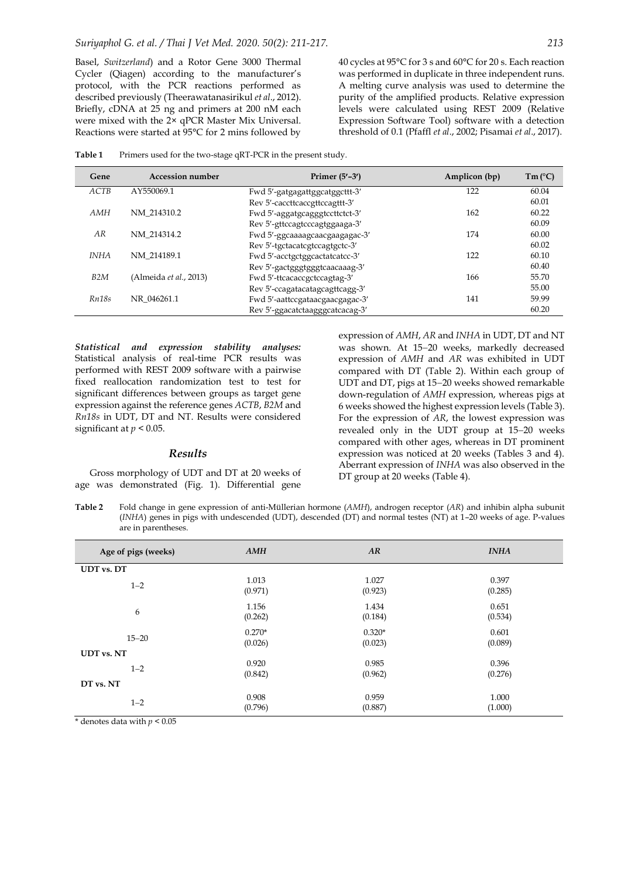Basel, *Switzerland*) and a Rotor Gene 3000 Thermal Cycler (Qiagen) according to the manufacturer's protocol, with the PCR reactions performed as described previously (Theerawatanasirikul *et al*., 2012). Briefly, cDNA at 25 ng and primers at 200 nM each were mixed with the 2× qPCR Master Mix Universal. Reactions were started at 95°C for 2 mins followed by 40 cycles at 95°C for 3 s and 60°C for 20 s. Each reaction was performed in duplicate in three independent runs. A melting curve analysis was used to determine the purity of the amplified products. Relative expression levels were calculated using REST 2009 (Relative Expression Software Tool) software with a detection threshold of 0.1 (Pfaffl *et al*., 2002; Pisamai *et al*., 2017).

Table 1 Primers used for the two-stage qRT-PCR in the present study.

| Gene        | Accession number       | Primer $(5'$ –3')               | Amplicon (bp) | $Tm(^{\circ}C)$ |
|-------------|------------------------|---------------------------------|---------------|-----------------|
| ACTB        | AY550069.1             | Fwd 5'-gatgagattggcatggcttt-3'  | 122           | 60.04           |
|             |                        | Rev 5'-caccttcaccgttccagttt-3'  |               | 60.01           |
| AMH         | NM 214310.2            | Fwd 5'-aggatgcagggtccttctct-3'  | 162           | 60.22           |
|             |                        | Rev 5'-gttccagtcccagtggaaga-3'  |               | 60.09           |
| AR          | NM 214314.2            | Fwd 5'-ggcaaaagcaacgaagagac-3'  | 174           | 60.00           |
|             |                        | Rev 5'-tgctacatcgtccagtgctc-3'  |               | 60.02           |
| <i>INHA</i> | NM 214189.1            | Fwd 5'-acctgctggcactatcatcc-3'  | 122           | 60.10           |
|             |                        | Rev 5'-gactgggtgggtcaacaaag-3'  |               | 60.40           |
| B2M         | (Almeida et al., 2013) | Fwd 5'-ttcacaccgctccagtag-3'    | 166           | 55.70           |
|             |                        | Rev 5'-ccagatacatagcagttcagg-3' |               | 55.00           |
| Rn18s       | NR 046261.1            | Fwd 5'-aattccgataacgaacgagac-3' | 141           | 59.99           |
|             |                        | Rev 5'-ggacatctaagggcatcacag-3' |               | 60.20           |

*Statistical and expression stability analyses:* Statistical analysis of real-time PCR results was performed with REST 2009 software with a pairwise fixed reallocation randomization test to test for significant differences between groups as target gene expression against the reference genes *ACTB*, *B2M* and *Rn18s* in UDT, DT and NT. Results were considered significant at *p* < 0.05.

#### *Results*

Gross morphology of UDT and DT at 20 weeks of age was demonstrated (Fig. 1). Differential gene

expression of *AMH*, *AR* and *INHA* in UDT, DT and NT was shown. At 15-20 weeks, markedly decreased expression of *AMH* and *AR* was exhibited in UDT compared with DT (Table 2). Within each group of UDT and DT, pigs at 15-20 weeks showed remarkable down-regulation of *AMH* expression, whereas pigs at 6 weeks showed the highest expression levels (Table 3). For the expression of *AR*, the lowest expression was revealed only in the UDT group at 15-20 weeks compared with other ages, whereas in DT prominent expression was noticed at 20 weeks (Tables 3 and 4). Aberrant expression of *INHA* was also observed in the DT group at 20 weeks (Table 4).

**Table 2** Fold change in gene expression of anti-Müllerian hormone (*AMH*), androgen receptor (*AR*) and inhibin alpha subunit (*INHA*) genes in pigs with undescended (UDT), descended (DT) and normal testes (NT) at 1–20 weeks of age. P-values are in parentheses.

| Age of pigs (weeks) | <b>AMH</b> | AR       | <b>INHA</b> |  |  |
|---------------------|------------|----------|-------------|--|--|
| <b>UDT</b> vs. DT   |            |          |             |  |  |
| $1 - 2$             | 1.013      | 1.027    | 0.397       |  |  |
|                     | (0.971)    | (0.923)  | (0.285)     |  |  |
| 6                   | 1.156      | 1.434    | 0.651       |  |  |
|                     | (0.262)    | (0.184)  | (0.534)     |  |  |
| $15 - 20$           | $0.270*$   | $0.320*$ | 0.601       |  |  |
|                     | (0.026)    | (0.023)  | (0.089)     |  |  |
| <b>UDT</b> vs. NT   |            |          |             |  |  |
| $1 - 2$             | 0.920      | 0.985    | 0.396       |  |  |
|                     | (0.842)    | (0.962)  | (0.276)     |  |  |
| DT vs. NT           |            |          |             |  |  |
| $1 - 2$             | 0.908      | 0.959    | 1.000       |  |  |
|                     | (0.796)    | (0.887)  | (1.000)     |  |  |

 $*$  denotes data with  $p < 0.05$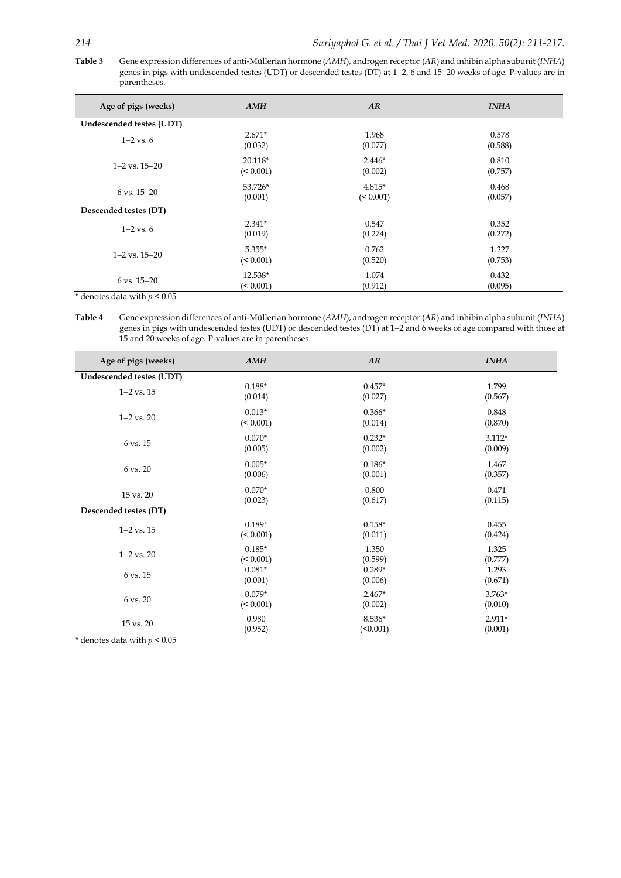**Table 3** Gene expression differences of anti-Müllerian hormone (*AMH*), androgen receptor (*AR*) and inhibin alpha subunit (*INHA*) genes in pigs with undescended testes (UDT) or descended testes (DT) at 1-2, 6 and 15-20 weeks of age. P-values are in parentheses.

| Age of pigs (weeks)      | <b>AMH</b> | AR        | <b>INHA</b> |
|--------------------------|------------|-----------|-------------|
| Undescended testes (UDT) |            |           |             |
| $1 - 2$ vs. 6            | $2.671*$   | 1.968     | 0.578       |
|                          | (0.032)    | (0.077)   | (0.588)     |
| $1-2$ vs. $15-20$        | 20.118*    | $2.446*$  | 0.810       |
|                          | (< 0.001)  | (0.002)   | (0.757)     |
| $6 \text{ vs. } 15 - 20$ | 53.726*    | $4.815*$  | 0.468       |
|                          | (0.001)    | (< 0.001) | (0.057)     |
| Descended testes (DT)    |            |           |             |
| $1 - 2$ vs. 6            | $2.341*$   | 0.547     | 0.352       |
|                          | (0.019)    | (0.274)   | (0.272)     |
| $1-2$ vs. $15-20$        | $5.355*$   | 0.762     | 1.227       |
|                          | (< 0.001)  | (0.520)   | (0.753)     |
| $6 \text{ vs. } 15 - 20$ | 12.538*    | 1.074     | 0.432       |
|                          | (< 0.001)  | (0.912)   | (0.095)     |

 $*$  denotes data with  $p < 0.05$ 

**Table 4** Gene expression differences of anti-Müllerian hormone (*AMH*), androgen receptor (*AR*) and inhibin alpha subunit (*INHA*) genes in pigs with undescended testes (UDT) or descended testes (DT) at 1-2 and 6 weeks of age compared with those at 15 and 20 weeks of age. P-values are in parentheses.

| Age of pigs (weeks)      | AMH       | AR       | <b>INHA</b> |  |  |
|--------------------------|-----------|----------|-------------|--|--|
| Undescended testes (UDT) |           |          |             |  |  |
| $1 - 2$ vs. $15$         | $0.188*$  | $0.457*$ | 1.799       |  |  |
|                          | (0.014)   | (0.027)  | (0.567)     |  |  |
| $1 - 2$ vs. $20$         | $0.013*$  | $0.366*$ | 0.848       |  |  |
|                          | (< 0.001) | (0.014)  | (0.870)     |  |  |
| 6 vs. 15                 | $0.070*$  | $0.232*$ | $3.112*$    |  |  |
|                          | (0.005)   | (0.002)  | (0.009)     |  |  |
| 6 vs. 20                 | $0.005*$  | $0.186*$ | 1.467       |  |  |
|                          | (0.006)   | (0.001)  | (0.357)     |  |  |
| 15 vs. 20                | $0.070*$  | 0.800    | 0.471       |  |  |
|                          | (0.023)   | (0.617)  | (0.115)     |  |  |
| Descended testes (DT)    |           |          |             |  |  |
| $1 - 2$ vs. $15$         | $0.189*$  | $0.158*$ | 0.455       |  |  |
|                          | (< 0.001) | (0.011)  | (0.424)     |  |  |
| $1 - 2$ vs. $20$         | $0.185*$  | 1.350    | 1.325       |  |  |
|                          | (< 0.001) | (0.599)  | (0.777)     |  |  |
| 6 vs. 15                 | $0.081*$  | $0.289*$ | 1.293       |  |  |
|                          | (0.001)   | (0.006)  | (0.671)     |  |  |
| 6 vs. 20                 | $0.079*$  | $2.467*$ | $3.763*$    |  |  |
|                          | (< 0.001) | (0.002)  | (0.010)     |  |  |
| 15 vs. 20                | 0.980     | $8.536*$ | $2.911*$    |  |  |
|                          | (0.952)   | (50.001) | (0.001)     |  |  |

 $*$  denotes data with  $p < 0.05$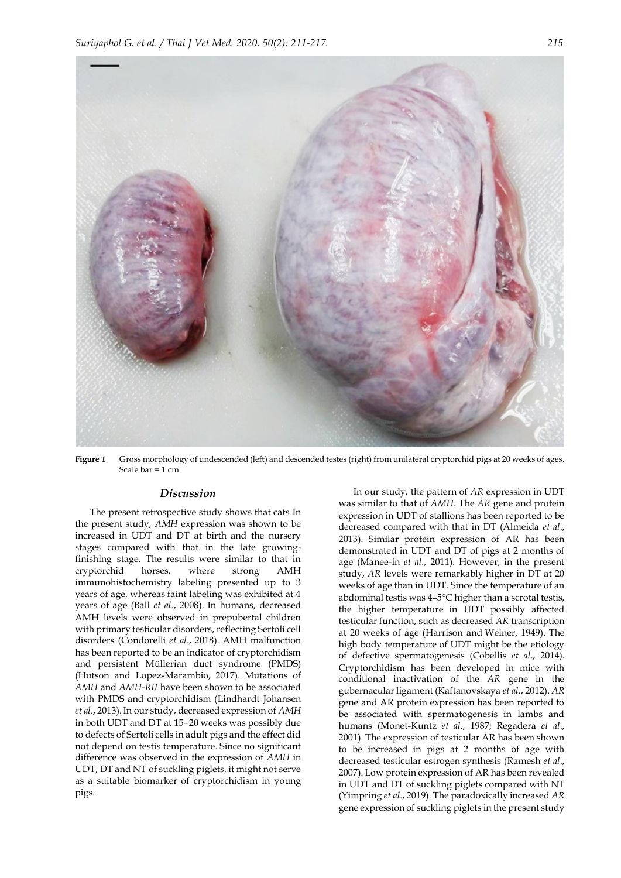

**Figure 1** Gross morphology of undescended (left) and descended testes (right) from unilateral cryptorchid pigs at 20 weeks of ages. Scale bar = 1 cm.

#### *Discussion*

The present retrospective study shows that cats In the present study, *AMH* expression was shown to be increased in UDT and DT at birth and the nursery stages compared with that in the late growingfinishing stage. The results were similar to that in cryptorchid horses, where strong AMH immunohistochemistry labeling presented up to 3 years of age, whereas faint labeling was exhibited at 4 years of age (Ball *et al*., 2008). In humans, decreased AMH levels were observed in prepubertal children with primary testicular disorders, reflecting Sertoli cell disorders (Condorelli *et al*., 2018). AMH malfunction has been reported to be an indicator of cryptorchidism and [persistent Müllerian duct syndrome](https://en.wikipedia.org/wiki/Persistent_M%C3%BCllerian_duct_syndrome) (PMDS) (Hutson and Lopez-Marambio, 2017). Mutations of *AMH* and *AMH-RII* have been shown to be associated with PMDS and cryptorchidism (Lindhardt Johansen *et al*., 2013). In our study, decreased expression of *AMH* in both UDT and DT at 15-20 weeks was possibly due to defects of Sertoli cells in adult pigs and the effect did not depend on testis temperature. Since no significant difference was observed in the expression of *AMH* in UDT, DT and NT of suckling piglets, it might not serve as a suitable biomarker of cryptorchidism in young pigs.

In our study, the pattern of *AR* expression in UDT was similar to that of *AMH*. The *AR* gene and protein expression in UDT of stallions has been reported to be decreased compared with that in DT (Almeida *et al*., 2013). Similar protein expression of AR has been demonstrated in UDT and DT of pigs at 2 months of age (Manee-in *et al*., 2011). However, in the present study, *AR* levels were remarkably higher in DT at 20 weeks of age than in UDT. Since the temperature of an abdominal testis was 4-5°C higher than a scrotal testis, the higher temperature in UDT possibly affected testicular function, such as decreased *AR* transcription at 20 weeks of age [\(Harrison](https://www.ncbi.nlm.nih.gov/pubmed/?term=HARRISON%20RG%5BAuthor%5D&cauthor=true&cauthor_uid=15407652) and [Weiner, 1](https://www.ncbi.nlm.nih.gov/pubmed/?term=WEINER%20JS%5BAuthor%5D&cauthor=true&cauthor_uid=15407652)949). The high body temperature of UDT might be the etiology of defective spermatogenesis (Cobellis *et al*., 2014). Cryptorchidism has been developed in mice with conditional inactivation of the *AR* gene in the gubernacular ligament (Kaftanovskaya *et al*., 2012). *AR* gene and AR protein expression has been reported to be associated with spermatogenesis in lambs and humans (Monet-Kuntz *et al*., 1987; Regadera *et al*., 2001). The expression of testicular AR has been shown to be increased in pigs at 2 months of age with decreased testicular estrogen synthesis (Ramesh *et al*., 2007). Low protein expression of AR has been revealed in UDT and DT of suckling piglets compared with NT (Yimpring *et al*., 2019). The paradoxically increased *AR* gene expression of suckling piglets in the present study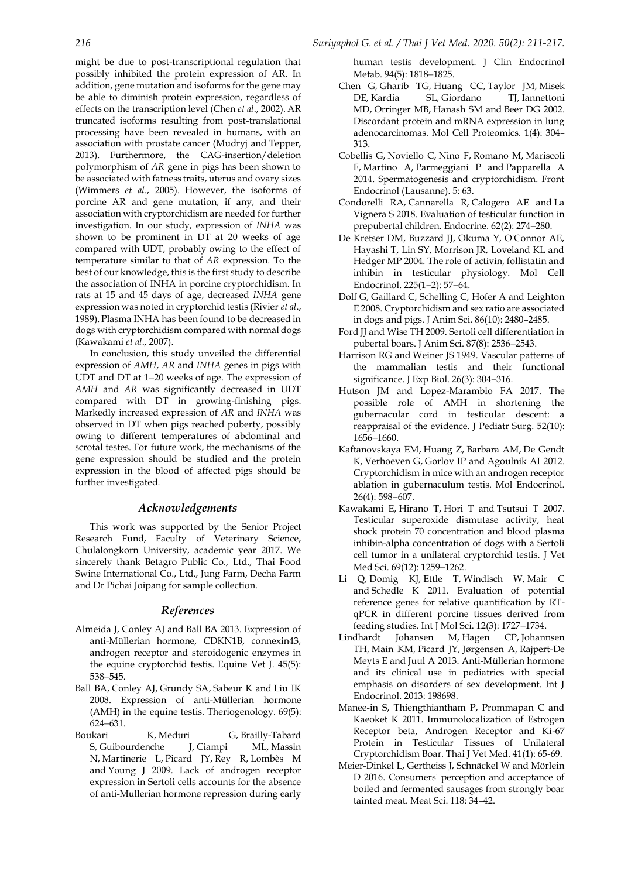might be due to post-transcriptional regulation that possibly inhibited the protein expression of AR. In addition, gene mutation and isoforms for the gene may be able to diminish protein expression, regardless of effects on the transcription level (Chen *et al*., 2002). AR truncated isoforms resulting from post-translational processing have been revealed in humans, with an association with prostate cancer [\(Mudryj](https://www.ncbi.nlm.nih.gov/pubmed/?term=Mudryj%20M%5BAuthor%5D&cauthor=true&cauthor_uid=23860689) and [Tepper,](https://www.ncbi.nlm.nih.gov/pubmed/?term=Tepper%20CG%5BAuthor%5D&cauthor=true&cauthor_uid=23860689) 2013). Furthermore, the CAG-insertion/deletion polymorphism of *AR* gene in pigs has been shown to be associated with fatness traits, uterus and ovary sizes (Wimmers *et al*., 2005). However, the isoforms of porcine AR and gene mutation, if any, and their association with cryptorchidism are needed for further investigation. In our study, expression of *INHA* was shown to be prominent in DT at 20 weeks of age compared with UDT, probably owing to the effect of temperature similar to that of *AR* expression. To the best of our knowledge, this is the first study to describe the association of INHA in porcine cryptorchidism. In rats at 15 and 45 days of age, decreased *INHA* gene expression was noted in cryptorchid testis (Rivier *et al*., 1989). Plasma INHA has been found to be decreased in dogs with cryptorchidism compared with normal dogs (Kawakami *et al*., 2007).

In conclusion, this study unveiled the differential expression of *AMH*, *AR* and *INHA* genes in pigs with UDT and DT at  $1-20$  weeks of age. The expression of *AMH* and *AR* was significantly decreased in UDT compared with DT in growing-finishing pigs. Markedly increased expression of *AR* and *INHA* was observed in DT when pigs reached puberty, possibly owing to different temperatures of abdominal and scrotal testes. For future work, the mechanisms of the gene expression should be studied and the protein expression in the blood of affected pigs should be further investigated.

# *Acknowledgements*

This work was supported by the Senior Project Research Fund, Faculty of Veterinary Science, Chulalongkorn University, academic year 2017. We sincerely thank Betagro Public Co., Ltd., Thai Food Swine International Co., Ltd., Jung Farm, Decha Farm and Dr Pichai Joipang for sample collection.

## *References*

- Almeida J, Conley AJ and Ball BA 2013. Expression of anti-Müllerian hormone, CDKN1B, connexin43, androgen receptor and steroidogenic enzymes in the equine cryptorchid testis. Equine Vet J. 45(5): 538-545.
- [Ball BA,](https://www.ncbi.nlm.nih.gov/pubmed/?term=Ball%20BA%5BAuthor%5D&cauthor=true&cauthor_uid=18242669) [Conley AJ,](https://www.ncbi.nlm.nih.gov/pubmed/?term=Conley%20AJ%5BAuthor%5D&cauthor=true&cauthor_uid=18242669) [Grundy SA,](https://www.ncbi.nlm.nih.gov/pubmed/?term=Grundy%20SA%5BAuthor%5D&cauthor=true&cauthor_uid=18242669) [Sabeur K](https://www.ncbi.nlm.nih.gov/pubmed/?term=Sabeur%20K%5BAuthor%5D&cauthor=true&cauthor_uid=18242669) and [Liu IK](https://www.ncbi.nlm.nih.gov/pubmed/?term=Liu%20IK%5BAuthor%5D&cauthor=true&cauthor_uid=18242669) 2008. Expression of anti-Müllerian hormone (AMH) in the equine testis. [Theriogenology.](https://www.ncbi.nlm.nih.gov/pubmed/?term=18242669) 69(5): 624631.
- [Boukari K,](https://www.ncbi.nlm.nih.gov/pubmed/?term=Boukari%20K%5BAuthor%5D&cauthor=true&cauthor_uid=19276236) [Meduri G,](https://www.ncbi.nlm.nih.gov/pubmed/?term=Meduri%20G%5BAuthor%5D&cauthor=true&cauthor_uid=19276236) [Brailly-Tabard](https://www.ncbi.nlm.nih.gov/pubmed/?term=Brailly-Tabard%20S%5BAuthor%5D&cauthor=true&cauthor_uid=19276236)  [S,](https://www.ncbi.nlm.nih.gov/pubmed/?term=Brailly-Tabard%20S%5BAuthor%5D&cauthor=true&cauthor_uid=19276236) [Guibourdenche J,](https://www.ncbi.nlm.nih.gov/pubmed/?term=Guibourdenche%20J%5BAuthor%5D&cauthor=true&cauthor_uid=19276236) [Ciampi ML,](https://www.ncbi.nlm.nih.gov/pubmed/?term=Ciampi%20ML%5BAuthor%5D&cauthor=true&cauthor_uid=19276236) [Massin](https://www.ncbi.nlm.nih.gov/pubmed/?term=Massin%20N%5BAuthor%5D&cauthor=true&cauthor_uid=19276236)  [N,](https://www.ncbi.nlm.nih.gov/pubmed/?term=Massin%20N%5BAuthor%5D&cauthor=true&cauthor_uid=19276236) [Martinerie L,](https://www.ncbi.nlm.nih.gov/pubmed/?term=Martinerie%20L%5BAuthor%5D&cauthor=true&cauthor_uid=19276236) [Picard JY,](https://www.ncbi.nlm.nih.gov/pubmed/?term=Picard%20JY%5BAuthor%5D&cauthor=true&cauthor_uid=19276236) [Rey R,](https://www.ncbi.nlm.nih.gov/pubmed/?term=Rey%20R%5BAuthor%5D&cauthor=true&cauthor_uid=19276236) [Lombès M](https://www.ncbi.nlm.nih.gov/pubmed/?term=Lomb%C3%A8s%20M%5BAuthor%5D&cauthor=true&cauthor_uid=19276236) and [Young J](https://www.ncbi.nlm.nih.gov/pubmed/?term=Young%20J%5BAuthor%5D&cauthor=true&cauthor_uid=19276236) 2009. Lack of androgen receptor expression in Sertoli cells accounts for the absence of anti-Mullerian hormone repression during early

human testis development. J Clin Endocrinol Metab. 94(5): 1818-1825.

- Chen G, Gharib TG, Huang CC, Taylor JM, Misek DE, Kardia SL, Giordano TJ, Iannettoni MD, Orringer MB, Hanash SM and Beer DG 2002. Discordant protein and mRNA expression in lung adenocarcinomas. Mol Cell Proteomics. 1(4): 304– 313.
- [Cobellis G,](https://www.ncbi.nlm.nih.gov/pubmed/?term=Cobellis%20G%5BAuthor%5D&cauthor=true&cauthor_uid=24829558) [Noviello C,](https://www.ncbi.nlm.nih.gov/pubmed/?term=Noviello%20C%5BAuthor%5D&cauthor=true&cauthor_uid=24829558) [Nino F,](https://www.ncbi.nlm.nih.gov/pubmed/?term=Nino%20F%5BAuthor%5D&cauthor=true&cauthor_uid=24829558) [Romano M,](https://www.ncbi.nlm.nih.gov/pubmed/?term=Romano%20M%5BAuthor%5D&cauthor=true&cauthor_uid=24829558) [Mariscoli](https://www.ncbi.nlm.nih.gov/pubmed/?term=Mariscoli%20F%5BAuthor%5D&cauthor=true&cauthor_uid=24829558)  [F,](https://www.ncbi.nlm.nih.gov/pubmed/?term=Mariscoli%20F%5BAuthor%5D&cauthor=true&cauthor_uid=24829558) [Martino A,](https://www.ncbi.nlm.nih.gov/pubmed/?term=Martino%20A%5BAuthor%5D&cauthor=true&cauthor_uid=24829558) [Parmeggiani P](https://www.ncbi.nlm.nih.gov/pubmed/?term=Parmeggiani%20P%5BAuthor%5D&cauthor=true&cauthor_uid=24829558) and [Papparella A](https://www.ncbi.nlm.nih.gov/pubmed/?term=Papparella%20A%5BAuthor%5D&cauthor=true&cauthor_uid=24829558) 2014. Spermatogenesis and cryptorchidism. Front Endocrinol (Lausanne). 5: 63.
- Condorelli RA, Cannarella R, Calogero AE and La Vignera S 2018. Evaluation of testicular function in prepubertal children[. Endocrine](https://www.ncbi.nlm.nih.gov/pubmed/?term=29982874).  $62(2)$ : 274-280.
- De Kretser DM, Buzzard II, Okuma Y, O'Connor AE, Hayashi T, Lin SY, Morrison JR, Loveland KL and Hedger MP 2004. The role of activin, follistatin and inhibin in testicular physiology. Mol Cell Endocrinol. 225(1-2): 57-64.
- Dolf G, Gaillard C, Schelling C, Hofer A and Leighton E 2008. Cryptorchidism and sex ratio are associated in dogs and pigs. J Anim Sci*.* 86(10): 2480–2485.
- [Ford JJ](https://www.ncbi.nlm.nih.gov/pubmed/?term=Ford%20JJ%5BAuthor%5D&cauthor=true&cauthor_uid=19420233) and [Wise TH](https://www.ncbi.nlm.nih.gov/pubmed/?term=Wise%20TH%5BAuthor%5D&cauthor=true&cauthor_uid=19420233) 2009. Sertoli cell differentiation in pubertal boars. J Anim Sci. 87(8): 2536-2543.
- [Harrison RG](https://www.ncbi.nlm.nih.gov/pubmed/?term=HARRISON%20RG%5BAuthor%5D&cauthor=true&cauthor_uid=15407652) and [Weiner JS](https://www.ncbi.nlm.nih.gov/pubmed/?term=WEINER%20JS%5BAuthor%5D&cauthor=true&cauthor_uid=15407652) 1949. Vascular patterns of the mammalian testis and their functional significance. J Exp Biol. 26(3): 304-316.
- Hutson JM and Lopez-Marambio FA 2017. The possible role of AMH in shortening the gubernacular cord in testicular descent: a reappraisal of the evidence. J Pediatr Surg. 52(10): 1656-1660.
- [Kaftanovskaya EM,](https://www.ncbi.nlm.nih.gov/pubmed/?term=Kaftanovskaya%20EM%5BAuthor%5D&cauthor=true&cauthor_uid=22322597) [Huang Z,](https://www.ncbi.nlm.nih.gov/pubmed/?term=Huang%20Z%5BAuthor%5D&cauthor=true&cauthor_uid=22322597) [Barbara AM,](https://www.ncbi.nlm.nih.gov/pubmed/?term=Barbara%20AM%5BAuthor%5D&cauthor=true&cauthor_uid=22322597) [De Gendt](https://www.ncbi.nlm.nih.gov/pubmed/?term=De%20Gendt%20K%5BAuthor%5D&cauthor=true&cauthor_uid=22322597)  [K,](https://www.ncbi.nlm.nih.gov/pubmed/?term=De%20Gendt%20K%5BAuthor%5D&cauthor=true&cauthor_uid=22322597) [Verhoeven G,](https://www.ncbi.nlm.nih.gov/pubmed/?term=Verhoeven%20G%5BAuthor%5D&cauthor=true&cauthor_uid=22322597) [Gorlov IP](https://www.ncbi.nlm.nih.gov/pubmed/?term=Gorlov%20IP%5BAuthor%5D&cauthor=true&cauthor_uid=22322597) and [Agoulnik AI](https://www.ncbi.nlm.nih.gov/pubmed/?term=Agoulnik%20AI%5BAuthor%5D&cauthor=true&cauthor_uid=22322597) 2012. Cryptorchidism in mice with an androgen receptor ablation in gubernaculum testis. Mol Endocrinol. 26(4): 598-607.
- [Kawakami E,](https://www.ncbi.nlm.nih.gov/pubmed/?term=Kawakami%20E%5BAuthor%5D&cauthor=true&cauthor_uid=18176022) [Hirano T,](https://www.ncbi.nlm.nih.gov/pubmed/?term=Hirano%20T%5BAuthor%5D&cauthor=true&cauthor_uid=18176022) [Hori T](https://www.ncbi.nlm.nih.gov/pubmed/?term=Hori%20T%5BAuthor%5D&cauthor=true&cauthor_uid=18176022) and [Tsutsui T](https://www.ncbi.nlm.nih.gov/pubmed/?term=Tsutsui%20T%5BAuthor%5D&cauthor=true&cauthor_uid=18176022) 2007. Testicular superoxide dismutase activity, heat shock protein 70 concentration and blood plasma inhibin-alpha concentration of dogs with a Sertoli cell tumor in a unilateral cryptorchid testis. [J Vet](https://www.ncbi.nlm.nih.gov/pubmed/?term=Testicular+superoxide+dismutase+activity%2C+heat+shock+protein+70+concentration+and+blood+plasma+inhibin-alpha+concentration+of+dogs+with+a+Sertoli+cell+tumor+in+a+unilateral+cryptorchid+testis)  [Med Sci.](https://www.ncbi.nlm.nih.gov/pubmed/?term=Testicular+superoxide+dismutase+activity%2C+heat+shock+protein+70+concentration+and+blood+plasma+inhibin-alpha+concentration+of+dogs+with+a+Sertoli+cell+tumor+in+a+unilateral+cryptorchid+testis) 69(12): 1259-1262.
- [Li Q,](https://www.ncbi.nlm.nih.gov/pubmed/?term=Li%20Q%5BAuthor%5D&cauthor=true&cauthor_uid=21673918) [Domig KJ,](https://www.ncbi.nlm.nih.gov/pubmed/?term=Domig%20KJ%5BAuthor%5D&cauthor=true&cauthor_uid=21673918) [Ettle T,](https://www.ncbi.nlm.nih.gov/pubmed/?term=Ettle%20T%5BAuthor%5D&cauthor=true&cauthor_uid=21673918) [Windisch W,](https://www.ncbi.nlm.nih.gov/pubmed/?term=Windisch%20W%5BAuthor%5D&cauthor=true&cauthor_uid=21673918) [Mair C](https://www.ncbi.nlm.nih.gov/pubmed/?term=Mair%20C%5BAuthor%5D&cauthor=true&cauthor_uid=21673918) and [Schedle K](https://www.ncbi.nlm.nih.gov/pubmed/?term=Schedle%20K%5BAuthor%5D&cauthor=true&cauthor_uid=21673918) 2011. Evaluation of potential reference genes for relative quantification by RTqPCR in different porcine tissues derived from feeding studies. Int J Mol Sci. 12(3): 1727-1734.
- Lindhardt Johansen M, Hagen CP, Johannsen TH, Main KM, Picard JY, Jørgensen A, Rajpert-De Meyts E and Juul A 2013. Anti-Müllerian hormone and its clinical use in pediatrics with special emphasis on disorders of sex development. Int J Endocrinol. 2013: 198698.
- Manee-in S, Thiengthiantham P, Prommapan C and Kaeoket K 2011. Immunolocalization of Estrogen Receptor beta, Androgen Receptor and Ki-67 Protein in Testicular Tissues of Unilateral Cryptorchidism Boar. Thai J Vet Med. 41(1): 65-69.
- Meier-Dinkel L, Gertheiss J, Schnäckel W and Mörlein D 2016. Consumers' perception and acceptance of boiled and fermented sausages from strongly boar tainted meat. Meat Sci. 118: 34–42.